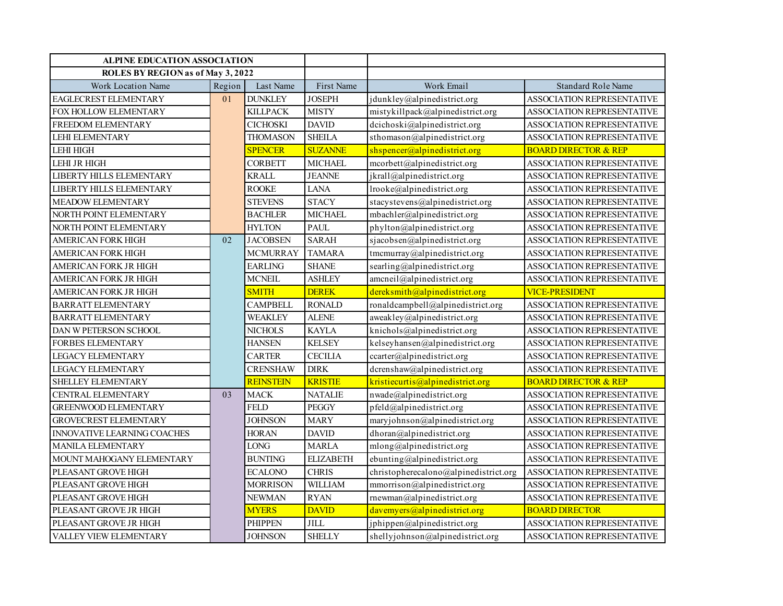| <b>ALPINE EDUCATION ASSOCIATION</b> |        |                             |                  |                                       |                                   |
|-------------------------------------|--------|-----------------------------|------------------|---------------------------------------|-----------------------------------|
| ROLES BY REGION as of May 3, 2022   |        |                             |                  |                                       |                                   |
| Work Location Name                  | Region | Last Name                   | First Name       | Work Email                            | <b>Standard Role Name</b>         |
| EAGLECREST ELEMENTARY               | 01     | <b>DUNKLEY</b>              | <b>JOSEPH</b>    | jdunkley@alpinedistrict.org           | <b>ASSOCIATION REPRESENTATIVE</b> |
| FOX HOLLOW ELEMENTARY               |        | <b>KILLPACK</b>             | <b>MISTY</b>     | mistykillpack@alpinedistrict.org      | ASSOCIATION REPRESENTATIVE        |
| FREEDOM ELEMENTARY                  |        | <b>CICHOSKI</b>             | <b>DAVID</b>     | dcichoski@alpinedistrict.org          | ASSOCIATION REPRESENTATIVE        |
| <b>LEHI ELEMENTARY</b>              |        | <b>THOMASON</b>             | <b>SHEILA</b>    | sthomason@alpinedistrict.org          | ASSOCIATION REPRESENTATIVE        |
| LEHI HIGH                           |        | <b>SPENCER</b>              | <b>SUZANNE</b>   | shspencer@alpinedistrict.org          | <b>BOARD DIRECTOR &amp; REP</b>   |
| LEHI JR HIGH                        |        | <b>CORBETT</b>              | <b>MICHAEL</b>   | mcorbett@alpinedistrict.org           | ASSOCIATION REPRESENTATIVE        |
| <b>LIBERTY HILLS ELEMENTARY</b>     |        | <b>KRALL</b>                | <b>JEANNE</b>    | jkrall@alpinedistrict.org             | ASSOCIATION REPRESENTATIVE        |
| <b>LIBERTY HILLS ELEMENTARY</b>     |        | <b>ROOKE</b>                | <b>LANA</b>      | lrooke@alpinedistrict.org             | ASSOCIATION REPRESENTATIVE        |
| <b>MEADOW ELEMENTARY</b>            |        | <b>STEVENS</b>              | <b>STACY</b>     | stacystevens@alpinedistrict.org       | ASSOCIATION REPRESENTATIVE        |
| NORTH POINT ELEMENTARY              |        | <b>BACHLER</b>              | <b>MICHAEL</b>   | mbachler@alpinedistrict.org           | ASSOCIATION REPRESENTATIVE        |
| NORTH POINT ELEMENTARY              |        | <b>HYLTON</b>               | <b>PAUL</b>      | phylton@alpinedistrict.org            | ASSOCIATION REPRESENTATIVE        |
| <b>AMERICAN FORK HIGH</b>           | 02     | <b>JACOBSEN</b>             | <b>SARAH</b>     | sjacobsen@alpinedistrict.org          | ASSOCIATION REPRESENTATIVE        |
| <b>AMERICAN FORK HIGH</b>           |        | <b>MCMURRAY</b>             | <b>TAMARA</b>    | tmcmurray@alpinedistrict.org          | ASSOCIATION REPRESENTATIVE        |
| AMERICAN FORK JR HIGH               |        | <b>EARLING</b>              | <b>SHANE</b>     | searling@alpinedistrict.org           | ASSOCIATION REPRESENTATIVE        |
| AMERICAN FORK JR HIGH               |        | <b>MCNEIL</b>               | <b>ASHLEY</b>    | amcneil@alpinedistrict.org            | ASSOCIATION REPRESENTATIVE        |
| AMERICAN FORK JR HIGH               |        | <b>SMITH</b>                | <b>DEREK</b>     | dereksmith@alpinedistrict.org         | <b>VICE-PRESIDENT</b>             |
| <b>BARRATT ELEMENTARY</b>           |        | <b>CAMPBELL</b>             | <b>RONALD</b>    | ronaldcampbell@alpinedistrict.org     | ASSOCIATION REPRESENTATIVE        |
| <b>BARRATT ELEMENTARY</b>           |        | <b>WEAKLEY</b>              | <b>ALENE</b>     | aweakley@alpinedistrict.org           | ASSOCIATION REPRESENTATIVE        |
| DAN W PETERSON SCHOOL               |        | $\overline{\text{NICHOLS}}$ | <b>KAYLA</b>     | knichols@alpinedistrict.org           | ASSOCIATION REPRESENTATIVE        |
| <b>FORBES ELEMENTARY</b>            |        | <b>HANSEN</b>               | <b>KELSEY</b>    | kelseyhansen@alpinedistrict.org       | ASSOCIATION REPRESENTATIVE        |
| <b>LEGACY ELEMENTARY</b>            |        | <b>CARTER</b>               | <b>CECILIA</b>   | ccarter@alpinedistrict.org            | ASSOCIATION REPRESENTATIVE        |
| <b>LEGACY ELEMENTARY</b>            |        | <b>CRENSHAW</b>             | <b>DIRK</b>      | dcrenshaw@alpinedistrict.org          | ASSOCIATION REPRESENTATIVE        |
| <b>SHELLEY ELEMENTARY</b>           |        | <b>REINSTEIN</b>            | <b>KRISTIE</b>   | kristiecurtis@alpinedistrict.org      | <b>BOARD DIRECTOR &amp; REP</b>   |
| <b>CENTRAL ELEMENTARY</b>           | 03     | <b>MACK</b>                 | <b>NATALIE</b>   | nwade@alpinedistrict.org              | ASSOCIATION REPRESENTATIVE        |
| <b>GREENWOOD ELEMENTARY</b>         |        | <b>FELD</b>                 | <b>PEGGY</b>     | pfeld@alpinedistrict.org              | ASSOCIATION REPRESENTATIVE        |
| <b>GROVECREST ELEMENTARY</b>        |        | <b>JOHNSON</b>              | <b>MARY</b>      | maryjohnson@alpinedistrict.org        | ASSOCIATION REPRESENTATIVE        |
| INNOVATIVE LEARNING COACHES         |        | <b>HORAN</b>                | <b>DAVID</b>     | dhoran@alpinedistrict.org             | ASSOCIATION REPRESENTATIVE        |
| <b>MANILA ELEMENTARY</b>            |        | <b>LONG</b>                 | <b>MARLA</b>     | mlong@alpinedistrict.org              | <b>ASSOCIATION REPRESENTATIVE</b> |
| MOUNT MAHOGANY ELEMENTARY           |        | <b>BUNTING</b>              | <b>ELIZABETH</b> | ebunting@alpinedistrict.org           | ASSOCIATION REPRESENTATIVE        |
| PLEASANT GROVE HIGH                 |        | <b>ECALONO</b>              | <b>CHRIS</b>     | christopherecalono@alpinedistrict.org | <b>ASSOCIATION REPRESENTATIVE</b> |
| PLEASANT GROVE HIGH                 |        | <b>MORRISON</b>             | WILLIAM          | mmorrison@alpinedistrict.org          | ASSOCIATION REPRESENTATIVE        |
| PLEASANT GROVE HIGH                 |        | <b>NEWMAN</b>               | <b>RYAN</b>      | rnewman@alpinedistrict.org            | ASSOCIATION REPRESENTATIVE        |
| PLEASANT GROVE JR HIGH              |        | <b>MYERS</b>                | <b>DAVID</b>     | davemvers@alpined is trict.org        | <b>BOARD DIRECTOR</b>             |
| PLEASANT GROVE JR HIGH              |        | <b>PHIPPEN</b>              | <b>JILL</b>      | jphippen@alpinedistrict.org           | ASSOCIATION REPRESENTATIVE        |
| VALLEY VIEW ELEMENTARY              |        | <b>JOHNSON</b>              | <b>SHELLY</b>    | shellyjohnson@alpinedistrict.org      | ASSOCIATION REPRESENTATIVE        |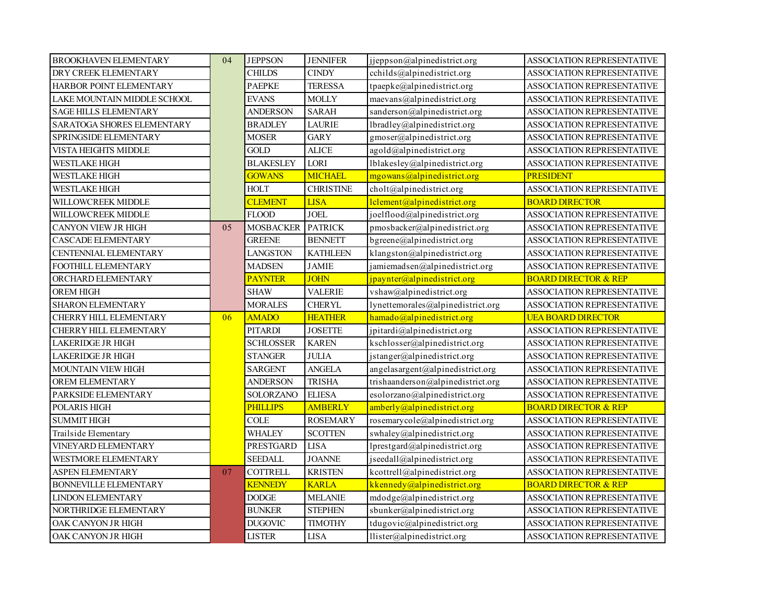| <b>BROOKHAVEN ELEMENTARY</b>      | 04 | <b>JEPPSON</b>        | <b>JENNIFER</b>  | jjeppson@alpinedistrict.org       | <b>ASSOCIATION REPRESENTATIVE</b> |
|-----------------------------------|----|-----------------------|------------------|-----------------------------------|-----------------------------------|
| DRY CREEK ELEMENTARY              |    | <b>CHILDS</b>         | <b>CINDY</b>     | cchilds@alpinedistrict.org        | <b>ASSOCIATION REPRESENTATIVE</b> |
| HARBOR POINT ELEMENTARY           |    | <b>PAEPKE</b>         | <b>TERESSA</b>   | tpaepke@alpinedistrict.org        | ASSOCIATION REPRESENTATIVE        |
| LAKE MOUNTAIN MIDDLE SCHOOL       |    | <b>EVANS</b>          | <b>MOLLY</b>     | maevans@alpined is trict.org      | ASSOCIATION REPRESENTATIVE        |
| <b>SAGE HILLS ELEMENTARY</b>      |    | ANDERSON              | <b>SARAH</b>     | sanderson@alpinedistrict.org      | ASSOCIATION REPRESENTATIVE        |
| <b>SARATOGA SHORES ELEMENTARY</b> |    | <b>BRADLEY</b>        | <b>LAURIE</b>    | lbradley@alpinedistrict.org       | <b>ASSOCIATION REPRESENTATIVE</b> |
| SPRINGSIDE ELEMENTARY             |    | <b>MOSER</b>          | <b>GARY</b>      | gmoser@alpinedistrict.org         | <b>ASSOCIATION REPRESENTATIVE</b> |
| VISTA HEIGHTS MIDDLE              |    | <b>GOLD</b>           | <b>ALICE</b>     | agold@alpinedistrict.org          | ASSOCIATION REPRESENTATIVE        |
| WESTLAKE HIGH                     |    | <b>BLAKESLEY</b>      | LORI             | lblakesley@alpinedistrict.org     | ASSOCIATION REPRESENTATIVE        |
| WESTLAKE HIGH                     |    | <b>GOWANS</b>         | <b>MICHAEL</b>   | mgowans@alpinedistrict.org        | <b>PRESIDENT</b>                  |
| WESTLAKE HIGH                     |    | <b>HOLT</b>           | <b>CHRISTINE</b> | cholt@alpinedistrict.org          | ASSOCIATION REPRESENTATIVE        |
| WILLOWCREEK MIDDLE                |    | <b>CLEMENT</b>        | <b>LISA</b>      | lclement@alpinedistrict.org       | <b>BOARD DIRECTOR</b>             |
| WILLOWCREEK MIDDLE                |    | <b>FLOOD</b>          | <b>JOEL</b>      | joelflood@alpinedistrict.org      | ASSOCIATION REPRESENTATIVE        |
| <b>CANYON VIEW JR HIGH</b>        | 05 | <b>MOSBACKER</b>      | <b>PATRICK</b>   | pmosbacker@alpinedistrict.org     | ASSOCIATION REPRESENTATIVE        |
| <b>CASCADE ELEMENTARY</b>         |    | <b>GREENE</b>         | <b>BENNETT</b>   | bgreene@alpinedistrict.org        | ASSOCIATION REPRESENTATIVE        |
| CENTENNIAL ELEMENTARY             |    | <b>LANGSTON</b>       | <b>KATHLEEN</b>  | klangston@alpinedistrict.org      | ASSOCIATION REPRESENTATIVE        |
| FOOTHILL ELEMENTARY               |    | <b>MADSEN</b>         | <b>JAMIE</b>     | jamiemadsen@alpinedistrict.org    | ASSOCIATION REPRESENTATIVE        |
| ORCHARD ELEMENTARY                |    | <b>PAYNTER</b>        | <b>JOHN</b>      | jpaynter@alpinedistrict.org       | <b>BOARD DIRECTOR &amp; REP</b>   |
| <b>OREM HIGH</b>                  |    | <b>SHAW</b>           | <b>VALERIE</b>   | vshaw@alpinedistrict.org          | ASSOCIATION REPRESENTATIVE        |
| <b>SHARON ELEMENTARY</b>          |    | <b>MORALES</b>        | <b>CHERYL</b>    | lynettemorales@alpinedistrict.org | ASSOCIATION REPRESENTATIVE        |
| CHERRY HILL ELEMENTARY            | 06 | <b>AMADO</b>          | <b>HEATHER</b>   | hamado@alpinedistrict.org         | <b>UEA BOARD DIRECTOR</b>         |
| CHERRY HILL ELEMENTARY            |    | PITARDI               | <b>JOSETTE</b>   | jpitardi@alpinedistrict.org       | <b>ASSOCIATION REPRESENTATIVE</b> |
| <b>LAKERIDGE JR HIGH</b>          |    | SCHLOSSER             | <b>KAREN</b>     | kschlosser@alpinedistrict.org     | ASSOCIATION REPRESENTATIVE        |
| <b>LAKERIDGE JR HIGH</b>          |    | STANGER               | <b>JULIA</b>     | jstanger@alpinedistrict.org       | ASSOCIATION REPRESENTATIVE        |
| <b>MOUNTAIN VIEW HIGH</b>         |    | SARGENT               | <b>ANGELA</b>    | angelasargent@alpinedistrict.org  | ASSOCIATION REPRESENTATIVE        |
| OREM ELEMENTARY                   |    | ANDERSON              | <b>TRISHA</b>    | trishaanderson@alpinedistrict.org | ASSOCIATION REPRESENTATIVE        |
| PARKSIDE ELEMENTARY               |    | <b>SOLORZANO</b>      | <b>ELIESA</b>    | esolorzano@alpinedistrict.org     | ASSOCIATION REPRESENTATIVE        |
| POLARIS HIGH                      |    | <b>PHILLIPS</b>       | <b>AMBERLY</b>   | $amberly$ (a) alpinedistrict.org  | <b>BOARD DIRECTOR &amp; REP</b>   |
| <b>SUMMIT HIGH</b>                |    | $\operatorname{COLE}$ | <b>ROSEMARY</b>  | rosemarycole@alpinedistrict.org   | ASSOCIATION REPRESENTATIVE        |
| Trailside Elementary              |    | WHALEY                | <b>SCOTTEN</b>   | swhaley@alpinedistrict.org        | <b>ASSOCIATION REPRESENTATIVE</b> |
| VINEYARD ELEMENTARY               |    | PRESTGARD             | <b>LISA</b>      | lprestgard@alpinedistrict.org     | ASSOCIATION REPRESENTATIVE        |
| WESTMORE ELEMENTARY               |    | <b>SEEDALL</b>        | <b>JOANNE</b>    | jseedall@alpinedistrict.org       | ASSOCIATION REPRESENTATIVE        |
| ASPEN ELEMENTARY                  | 07 | <b>COTTRELL</b>       | <b>KRISTEN</b>   | kcottrell@alpinedistrict.org      | ASSOCIATION REPRESENTATIVE        |
| <b>BONNEVILLE ELEMENTARY</b>      |    | <b>KENNEDY</b>        | <b>KARLA</b>     | kkennedy@alpinedistrict.org       | <b>BOARD DIRECTOR &amp; REP</b>   |
| <b>LINDON ELEMENTARY</b>          |    | $\rm{DODGE}$          | <b>MELANIE</b>   | mdodge@alpinedistrict.org         | ASSOCIATION REPRESENTATIVE        |
| NORTHRIDGE ELEMENTARY             |    | <b>BUNKER</b>         | <b>STEPHEN</b>   | sbunker@alpinedistrict.org        | <b>ASSOCIATION REPRESENTATIVE</b> |
| OAK CANYON JR HIGH                |    | <b>DUGOVIC</b>        | <b>TIMOTHY</b>   | tdugovic@alpinedistrict.org       | ASSOCIATION REPRESENTATIVE        |
| OAK CANYON JR HIGH                |    | ${\rm LISTER}$        | <b>LISA</b>      | llister@alpinedistrict.org        | ASSOCIATION REPRESENTATIVE        |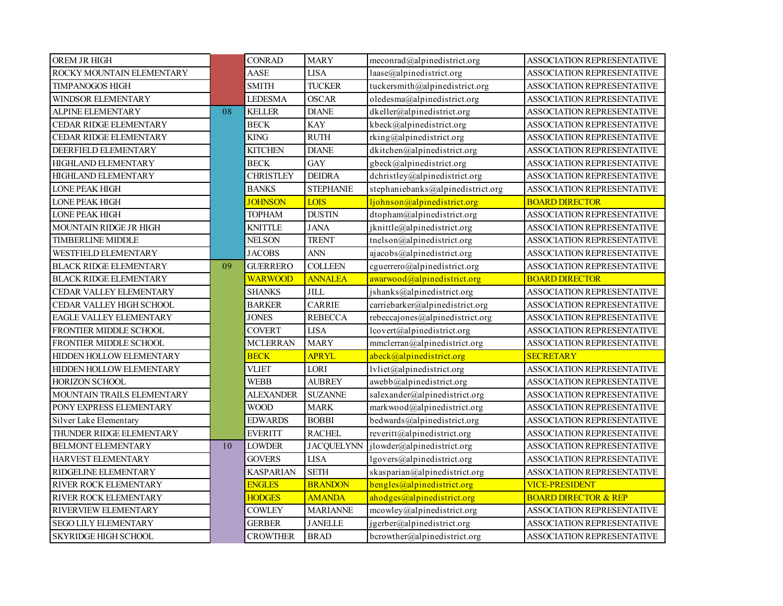| OREM JR HIGH                    |    | <b>CONRAD</b>    | <b>MARY</b>      | $meconrad(a)$ alpinedistrict.org  | ASSOCIATION REPRESENTATIVE        |
|---------------------------------|----|------------------|------------------|-----------------------------------|-----------------------------------|
| ROCKY MOUNTAIN ELEMENTARY       |    | <b>AASE</b>      | <b>LISA</b>      | laase@alpinedistrict.org          | <b>ASSOCIATION REPRESENTATIVE</b> |
| TIMPANOGOS HIGH                 |    | <b>SMITH</b>     | <b>TUCKER</b>    | tuckersmith@alpinedistrict.org    | ASSOCIATION REPRESENTATIVE        |
| WINDSOR ELEMENTARY              |    | <b>LEDESMA</b>   | <b>OSCAR</b>     | oledesma@alpinedistrict.org       | ASSOCIATION REPRESENTATIVE        |
| <b>ALPINE ELEMENTARY</b>        | 08 | <b>KELLER</b>    | <b>DIANE</b>     | dkeller@alpinedistrict.org        | ASSOCIATION REPRESENTATIVE        |
| CEDAR RIDGE ELEMENTARY          |    | <b>BECK</b>      | <b>KAY</b>       | kbeck@alpinedistrict.org          | <b>ASSOCIATION REPRESENTATIVE</b> |
| CEDAR RIDGE ELEMENTARY          |    | <b>KING</b>      | <b>RUTH</b>      | $rking$ @alpinedistrict.org       | ASSOCIATION REPRESENTATIVE        |
| DEERFIELD ELEMENTARY            |    | <b>KITCHEN</b>   | <b>DIANE</b>     | dkitchen@alpinedistrict.org       | ASSOCIATION REPRESENTATIVE        |
| HIGHLAND ELEMENTARY             |    | <b>BECK</b>      | <b>GAY</b>       | gbeck@alpinedistrict.org          | ASSOCIATION REPRESENTATIVE        |
| HIGHLAND ELEMENTARY             |    | <b>CHRISTLEY</b> | <b>DEIDRA</b>    | dchristley@alpinedistrict.org     | ASSOCIATION REPRESENTATIVE        |
| <b>LONE PEAK HIGH</b>           |    | <b>BANKS</b>     | <b>STEPHANIE</b> | stephaniebanks@alpinedistrict.org | ASSOCIATION REPRESENTATIVE        |
| <b>LONE PEAK HIGH</b>           |    | <b>JOHNSON</b>   | LOIS             | ljohnson@alpinedistrict.org       | <b>BOARD DIRECTOR</b>             |
| <b>LONE PEAK HIGH</b>           |    | <b>TOPHAM</b>    | <b>DUSTIN</b>    | dtopham@alpinedistrict.org        | ASSOCIATION REPRESENTATIVE        |
| MOUNTAIN RIDGE JR HIGH          |    | <b>KNITTLE</b>   | <b>JANA</b>      | jknittle@alpinedistrict.org       | ASSOCIATION REPRESENTATIVE        |
| <b>TIMBERLINE MIDDLE</b>        |    | <b>NELSON</b>    | <b>TRENT</b>     | tnelson@alpinedistrict.org        | ASSOCIATION REPRESENTATIVE        |
| WESTFIELD ELEMENTARY            |    | <b>JACOBS</b>    | <b>ANN</b>       | ajacobs@alpinedistrict.org        | ASSOCIATION REPRESENTATIVE        |
| <b>BLACK RIDGE ELEMENTARY</b>   | 09 | <b>GUERRERO</b>  | <b>COLLEEN</b>   | cguerrero@alpinedistrict.org      | ASSOCIATION REPRESENTATIVE        |
| <b>BLACK RIDGE ELEMENTARY</b>   |    | <b>WARWOOD</b>   | <b>ANNALEA</b>   | awarwood@alpinedistrict.org       | <b>BOARD DIRECTOR</b>             |
| CEDAR VALLEY ELEMENTARY         |    | <b>SHANKS</b>    | <b>JILL</b>      | jshanks@alpinedistrict.org        | ASSOCIATION REPRESENTATIVE        |
| CEDAR VALLEY HIGH SCHOOL        |    | <b>BARKER</b>    | <b>CARRIE</b>    | carriebarker@alpinedistrict.org   | ASSOCIATION REPRESENTATIVE        |
| <b>EAGLE VALLEY ELEMENTARY</b>  |    | <b>JONES</b>     | <b>REBECCA</b>   | rebeccajones@alpinedistrict.org   | ASSOCIATION REPRESENTATIVE        |
| <b>FRONTIER MIDDLE SCHOOL</b>   |    | <b>COVERT</b>    | <b>LISA</b>      | lcovert@alpinedistrict.org        | <b>ASSOCIATION REPRESENTATIVE</b> |
| <b>FRONTIER MIDDLE SCHOOL</b>   |    | <b>MCLERRAN</b>  | <b>MARY</b>      | mmclerran@alpinedistrict.org      | <b>ASSOCIATION REPRESENTATIVE</b> |
| <b>HIDDEN HOLLOW ELEMENTARY</b> |    | <b>BECK</b>      | <b>APRYL</b>     | abeck@alpinedistrict.org          | <b>SECRETARY</b>                  |
| <b>HIDDEN HOLLOW ELEMENTARY</b> |    | VLIET            | LORI             | $lvliet$ @alpinedistrict.org      | ASSOCIATION REPRESENTATIVE        |
| <b>HORIZON SCHOOL</b>           |    | <b>WEBB</b>      | <b>AUBREY</b>    | awebb@alpinedistrict.org          | ASSOCIATION REPRESENTATIVE        |
| MOUNTAIN TRAILS ELEMENTARY      |    | ALEXANDER        | <b>SUZANNE</b>   | salexander@alpinedistrict.org     | ASSOCIATION REPRESENTATIVE        |
| PONY EXPRESS ELEMENTARY         |    | <b>WOOD</b>      | <b>MARK</b>      | markwood@alpinedistrict.org       | ASSOCIATION REPRESENTATIVE        |
| Silver Lake Elementary          |    | <b>EDWARDS</b>   | <b>BOBBI</b>     | bedwards@alpinedistrict.org       | ASSOCIATION REPRESENTATIVE        |
| <b>THUNDER RIDGE ELEMENTARY</b> |    | <b>EVERITT</b>   | <b>RACHEL</b>    | reveritt@alpinedistrict.org       | ASSOCIATION REPRESENTATIVE        |
| BELMONT ELEMENTARY              | 10 | <b>LOWDER</b>    | JACQUELYNN       | jlowder@alpinedistrict.org        | ASSOCIATION REPRESENTATIVE        |
| HARVEST ELEMENTARY              |    | <b>GOVERS</b>    | <b>LISA</b>      | lgovers@alpinedistrict.org        | ASSOCIATION REPRESENTATIVE        |
| RIDGELINE ELEMENTARY            |    | <b>KASPARIAN</b> | <b>SETH</b>      | skasparian@alpinedistrict.org     | ASSOCIATION REPRESENTATIVE        |
| RIVER ROCK ELEMENTARY           |    | <b>ENGLES</b>    | <b>BRANDON</b>   | bengles@alpinedistrict.org        | <b>VICE-PRESIDENT</b>             |
| RIVER ROCK ELEMENTARY           |    | <b>HODGES</b>    | <b>AMANDA</b>    | ahodges@alpinedistrict.org        | <b>BOARD DIRECTOR &amp; REP</b>   |
| RIVERVIEW ELEMENTARY            |    | <b>COWLEY</b>    | <b>MARIANNE</b>  | mcowley@alpinedistrict.org        | ASSOCIATION REPRESENTATIVE        |
| <b>SEGO LILY ELEMENTARY</b>     |    | <b>GERBER</b>    | <b>JANELLE</b>   | jgerber@alpinedistrict.org        | ASSOCIATION REPRESENTATIVE        |
| <b>SKYRIDGE HIGH SCHOOL</b>     |    | <b>CROWTHER</b>  | <b>BRAD</b>      | bcrowther@alpinedistrict.org      | ASSOCIATION REPRESENTATIVE        |